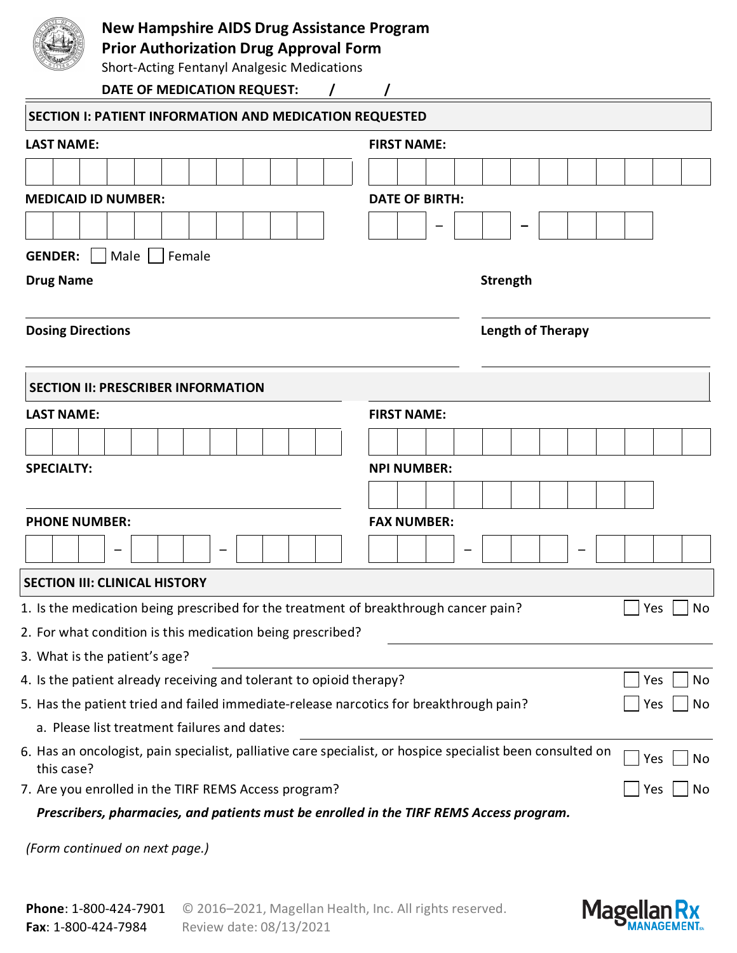| <b>New Hampshire AIDS Drug Assistance Program</b><br><b>Prior Authorization Drug Approval Form</b><br><b>Short-Acting Fentanyl Analgesic Medications</b> |  |  |                                    |  |  |  |  |  |                       |                    |     |     |    |  |  |  |  |  |     |    |
|----------------------------------------------------------------------------------------------------------------------------------------------------------|--|--|------------------------------------|--|--|--|--|--|-----------------------|--------------------|-----|-----|----|--|--|--|--|--|-----|----|
|                                                                                                                                                          |  |  | <b>DATE OF MEDICATION REQUEST:</b> |  |  |  |  |  |                       |                    |     |     |    |  |  |  |  |  |     |    |
|                                                                                                                                                          |  |  |                                    |  |  |  |  |  |                       |                    |     |     |    |  |  |  |  |  |     |    |
| <b>SECTION I: PATIENT INFORMATION AND MEDICATION REQUESTED</b>                                                                                           |  |  |                                    |  |  |  |  |  |                       |                    |     |     |    |  |  |  |  |  |     |    |
| <b>LAST NAME:</b>                                                                                                                                        |  |  |                                    |  |  |  |  |  |                       | <b>FIRST NAME:</b> |     |     |    |  |  |  |  |  |     |    |
|                                                                                                                                                          |  |  |                                    |  |  |  |  |  |                       |                    |     |     |    |  |  |  |  |  |     |    |
| <b>MEDICAID ID NUMBER:</b>                                                                                                                               |  |  |                                    |  |  |  |  |  | <b>DATE OF BIRTH:</b> |                    |     |     |    |  |  |  |  |  |     |    |
|                                                                                                                                                          |  |  |                                    |  |  |  |  |  |                       |                    |     |     |    |  |  |  |  |  |     |    |
| <b>GENDER:</b>                                                                                                                                           |  |  |                                    |  |  |  |  |  |                       |                    |     |     |    |  |  |  |  |  |     |    |
| Male   Female<br><b>Strength</b><br><b>Drug Name</b>                                                                                                     |  |  |                                    |  |  |  |  |  |                       |                    |     |     |    |  |  |  |  |  |     |    |
| <b>Dosing Directions</b><br><b>Length of Therapy</b>                                                                                                     |  |  |                                    |  |  |  |  |  |                       |                    |     |     |    |  |  |  |  |  |     |    |
| <b>SECTION II: PRESCRIBER INFORMATION</b>                                                                                                                |  |  |                                    |  |  |  |  |  |                       |                    |     |     |    |  |  |  |  |  |     |    |
| <b>LAST NAME:</b>                                                                                                                                        |  |  |                                    |  |  |  |  |  |                       | <b>FIRST NAME:</b> |     |     |    |  |  |  |  |  |     |    |
|                                                                                                                                                          |  |  |                                    |  |  |  |  |  |                       |                    |     |     |    |  |  |  |  |  |     |    |
| <b>SPECIALTY:</b>                                                                                                                                        |  |  |                                    |  |  |  |  |  |                       | <b>NPI NUMBER:</b> |     |     |    |  |  |  |  |  |     |    |
|                                                                                                                                                          |  |  |                                    |  |  |  |  |  |                       |                    |     |     |    |  |  |  |  |  |     |    |
|                                                                                                                                                          |  |  |                                    |  |  |  |  |  |                       | <b>FAX NUMBER:</b> |     |     |    |  |  |  |  |  |     |    |
| <b>PHONE NUMBER:</b>                                                                                                                                     |  |  |                                    |  |  |  |  |  |                       |                    |     |     |    |  |  |  |  |  |     |    |
|                                                                                                                                                          |  |  |                                    |  |  |  |  |  |                       |                    |     |     |    |  |  |  |  |  |     |    |
| <b>SECTION III: CLINICAL HISTORY</b>                                                                                                                     |  |  |                                    |  |  |  |  |  |                       |                    |     |     |    |  |  |  |  |  |     |    |
| 1. Is the medication being prescribed for the treatment of breakthrough cancer pain?                                                                     |  |  |                                    |  |  |  |  |  |                       |                    |     |     |    |  |  |  |  |  | Yes | No |
| 2. For what condition is this medication being prescribed?                                                                                               |  |  |                                    |  |  |  |  |  |                       |                    |     |     |    |  |  |  |  |  |     |    |
| 3. What is the patient's age?                                                                                                                            |  |  |                                    |  |  |  |  |  |                       |                    |     |     |    |  |  |  |  |  |     |    |
| 4. Is the patient already receiving and tolerant to opioid therapy?                                                                                      |  |  |                                    |  |  |  |  |  |                       |                    | Yes | No  |    |  |  |  |  |  |     |    |
| 5. Has the patient tried and failed immediate-release narcotics for breakthrough pain?                                                                   |  |  |                                    |  |  |  |  |  |                       |                    |     | Yes | No |  |  |  |  |  |     |    |
| a. Please list treatment failures and dates:                                                                                                             |  |  |                                    |  |  |  |  |  |                       |                    |     |     |    |  |  |  |  |  |     |    |
| 6. Has an oncologist, pain specialist, palliative care specialist, or hospice specialist been consulted on<br>this case?                                 |  |  |                                    |  |  |  |  |  |                       |                    |     |     |    |  |  |  |  |  | Yes | No |
| 7. Are you enrolled in the TIRF REMS Access program?                                                                                                     |  |  |                                    |  |  |  |  |  |                       |                    |     |     |    |  |  |  |  |  | Yes | No |
| Prescribers, pharmacies, and patients must be enrolled in the TIRF REMS Access program.                                                                  |  |  |                                    |  |  |  |  |  |                       |                    |     |     |    |  |  |  |  |  |     |    |

*(Form continued on next page.)*